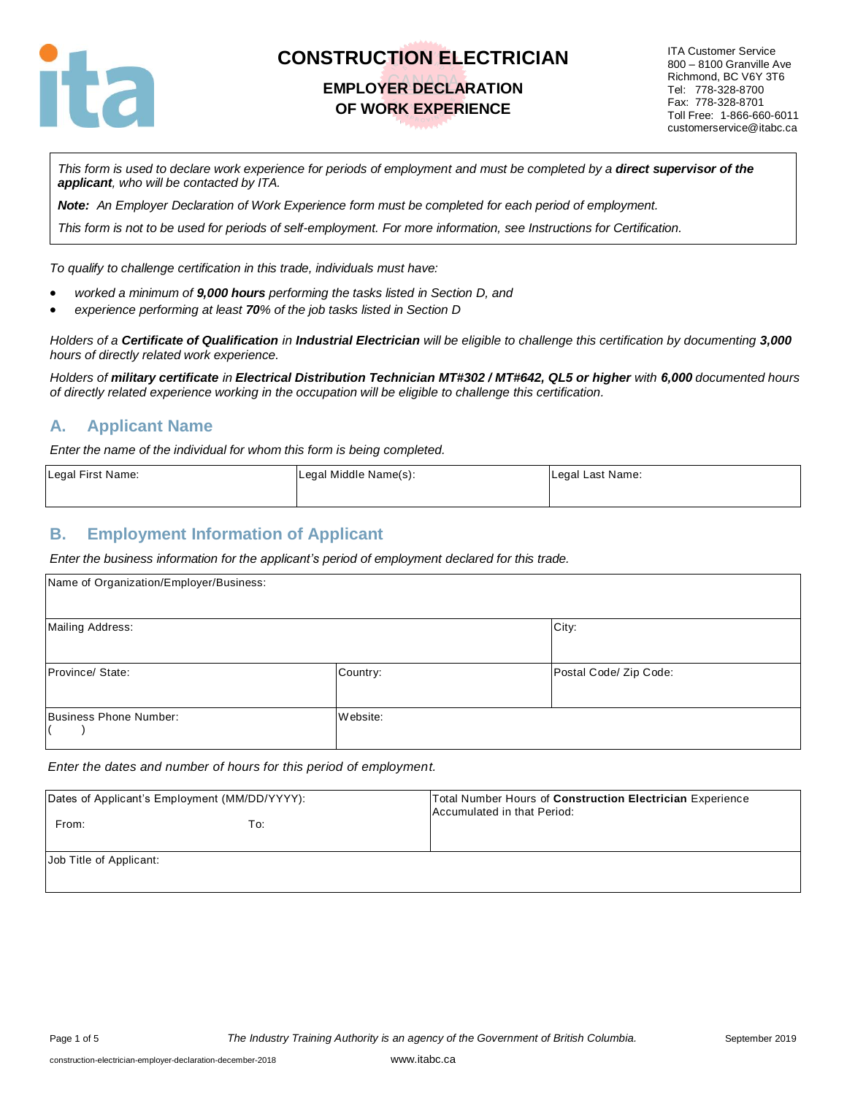

#### **EMPLOYER DECLARATION OF WORK EXPERIENCE**

ITA Customer Service 800 – 8100 Granville Ave Richmond, BC V6Y 3T6 Tel: 778-328-8700 Fax: 778-328-8701 Toll Free: 1-866-660-6011 customerservice@itabc.ca

*This form is used to declare work experience for periods of employment and must be completed by a direct supervisor of the applicant, who will be contacted by ITA.*

*Note: An Employer Declaration of Work Experience form must be completed for each period of employment.*

*This form is not to be used for periods of self-employment. For more information, see Instructions for Certification.*

*To qualify to challenge certification in this trade, individuals must have:*

- *worked a minimum of 9,000 hours performing the tasks listed in Section D, and*
- *experience performing at least 70% of the job tasks listed in Section D*

*Holders of a Certificate of Qualification in Industrial Electrician will be eligible to challenge this certification by documenting 3,000 hours of directly related work experience.* 

*Holders of military certificate in Electrical Distribution Technician MT#302 / MT#642, QL5 or higher with 6,000 documented hours of directly related experience working in the occupation will be eligible to challenge this certification.*

#### **A. Applicant Name**

*Enter the name of the individual for whom this form is being completed.* 

| Legal First Name: | Legal Middle Name(s): | Legal Last Name: |
|-------------------|-----------------------|------------------|
|                   |                       |                  |

#### **B. Employment Information of Applicant**

*Enter the business information for the applicant's period of employment declared for this trade.*

| Name of Organization/Employer/Business: |          |                        |
|-----------------------------------------|----------|------------------------|
| Mailing Address:                        |          | City:                  |
| Province/ State:                        | Country: | Postal Code/ Zip Code: |
| Business Phone Number:                  | Website: |                        |

*Enter the dates and number of hours for this period of employment.*

| Dates of Applicant's Employment (MM/DD/YYYY): |     | Total Number Hours of Construction Electrician Experience<br>Accumulated in that Period: |  |
|-----------------------------------------------|-----|------------------------------------------------------------------------------------------|--|
| From:                                         | To: |                                                                                          |  |
| Job Title of Applicant:                       |     |                                                                                          |  |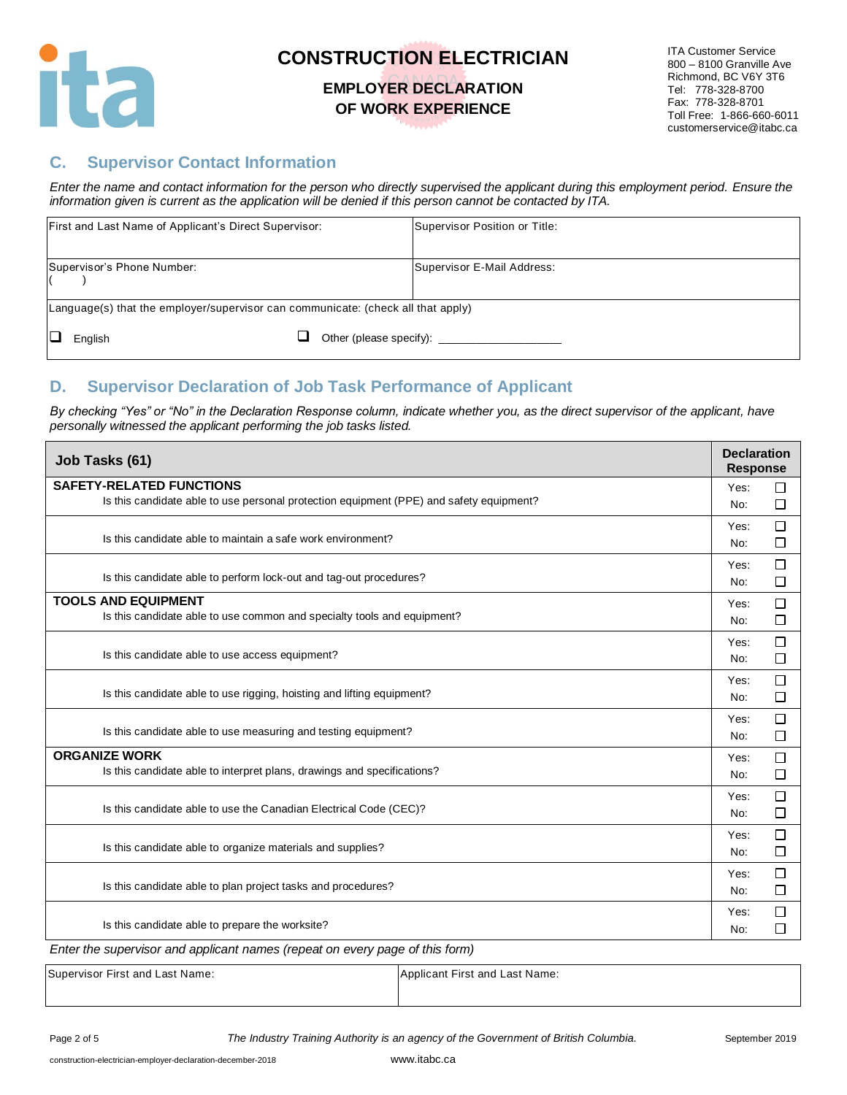

### **EMPLOYER DECLARATION OF WORK EXPERIENCE**

#### **C. Supervisor Contact Information**

*Enter the name and contact information for the person who directly supervised the applicant during this employment period. Ensure the information given is current as the application will be denied if this person cannot be contacted by ITA.*

|                                                                                  | First and Last Name of Applicant's Direct Supervisor: |  | Supervisor Position or Title: |
|----------------------------------------------------------------------------------|-------------------------------------------------------|--|-------------------------------|
|                                                                                  | Supervisor's Phone Number:                            |  | Supervisor E-Mail Address:    |
| Language(s) that the employer/supervisor can communicate: (check all that apply) |                                                       |  |                               |
|                                                                                  | English                                               |  | Other (please specify):       |

#### **D. Supervisor Declaration of Job Task Performance of Applicant**

*By checking "Yes" or "No" in the Declaration Response column, indicate whether you, as the direct supervisor of the applicant, have personally witnessed the applicant performing the job tasks listed.* 

| Job Tasks (61)                                                                                                             | <b>Declaration</b><br><b>Response</b> |
|----------------------------------------------------------------------------------------------------------------------------|---------------------------------------|
| <b>SAFETY-RELATED FUNCTIONS</b><br>Is this candidate able to use personal protection equipment (PPE) and safety equipment? | □<br>Yes:<br>□<br>No:                 |
| Is this candidate able to maintain a safe work environment?                                                                | □<br>Yes:<br>□<br>No:                 |
| Is this candidate able to perform lock-out and tag-out procedures?                                                         | □<br>Yes:<br>$\Box$<br>No:            |
| <b>TOOLS AND EQUIPMENT</b><br>Is this candidate able to use common and specialty tools and equipment?                      | □<br>Yes:<br>□<br>No:                 |
| Is this candidate able to use access equipment?                                                                            | □<br>Yes:<br>□<br>No:                 |
| Is this candidate able to use rigging, hoisting and lifting equipment?                                                     | □<br>Yes:<br>□<br>No:                 |
| Is this candidate able to use measuring and testing equipment?                                                             | $\Box$<br>Yes:<br>$\Box$<br>No:       |
| <b>ORGANIZE WORK</b><br>Is this candidate able to interpret plans, drawings and specifications?                            | □<br>Yes:<br>□<br>No:                 |
| Is this candidate able to use the Canadian Electrical Code (CEC)?                                                          | $\Box$<br>Yes:<br>□<br>No:            |
| Is this candidate able to organize materials and supplies?                                                                 | □<br>Yes:<br>□<br>No:                 |
| Is this candidate able to plan project tasks and procedures?                                                               | $\Box$<br>Yes:<br>□<br>No:            |
| Is this candidate able to prepare the worksite?                                                                            | $\Box$<br>Yes:<br>□<br>No:            |
| Enter the supervisor and applicant names (repeat on every page of this form)                                               |                                       |

Supervisor First and Last Name: Applicant First and Last Name: Applicant First and Last Name: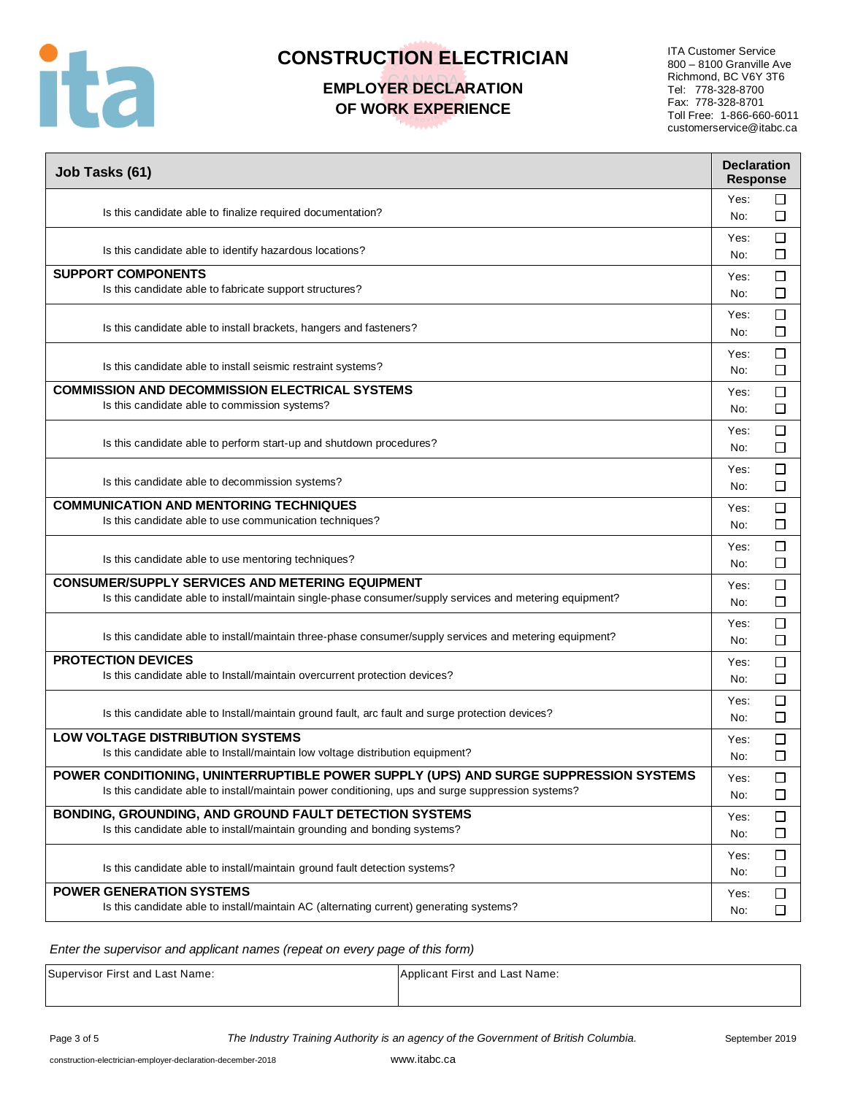

## **EMPLOYER DECLARATION OF WORK EXPERIENCE**

ITA Customer Service 800 – 8100 Granville Ave Richmond, BC V6Y 3T6 Tel: 778-328-8700 Fax: 778-328-8701 Toll Free: 1-866-660-6011 customerservice@itabc.ca

| Job Tasks (61)                                                                                                                                                                            | <b>Declaration</b><br><b>Response</b> |                  |
|-------------------------------------------------------------------------------------------------------------------------------------------------------------------------------------------|---------------------------------------|------------------|
| Is this candidate able to finalize required documentation?                                                                                                                                | Yes:<br>No:                           | ப<br>□           |
| Is this candidate able to identify hazardous locations?                                                                                                                                   | Yes:<br>No:                           | $\Box$<br>□      |
| <b>SUPPORT COMPONENTS</b><br>Is this candidate able to fabricate support structures?                                                                                                      | Yes:<br>No:                           | $\Box$<br>□      |
| Is this candidate able to install brackets, hangers and fasteners?                                                                                                                        | Yes:<br>No:                           | □<br>□           |
| Is this candidate able to install seismic restraint systems?                                                                                                                              | Yes:<br>No:                           | $\Box$<br>$\Box$ |
| <b>COMMISSION AND DECOMMISSION ELECTRICAL SYSTEMS</b><br>Is this candidate able to commission systems?                                                                                    | Yes:<br>No:                           | $\Box$<br>□      |
| Is this candidate able to perform start-up and shutdown procedures?                                                                                                                       | Yes:<br>No:                           | □<br>□           |
| Is this candidate able to decommission systems?                                                                                                                                           | Yes:<br>No:                           | □<br>□           |
| <b>COMMUNICATION AND MENTORING TECHNIQUES</b><br>Is this candidate able to use communication techniques?                                                                                  | Yes:<br>No:                           | $\Box$<br>□      |
| Is this candidate able to use mentoring techniques?                                                                                                                                       | Yes:<br>No:                           | □<br>□           |
| <b>CONSUMER/SUPPLY SERVICES AND METERING EQUIPMENT</b><br>Is this candidate able to install/maintain single-phase consumer/supply services and metering equipment?                        | Yes:<br>No:                           | □<br>□           |
| Is this candidate able to install/maintain three-phase consumer/supply services and metering equipment?                                                                                   | Yes:<br>No:                           | $\Box$<br>□      |
| <b>PROTECTION DEVICES</b><br>Is this candidate able to Install/maintain overcurrent protection devices?                                                                                   | Yes:<br>No:                           | $\Box$<br>□      |
| Is this candidate able to Install/maintain ground fault, arc fault and surge protection devices?                                                                                          | Yes:<br>No:                           | □<br>$\Box$      |
| <b>LOW VOLTAGE DISTRIBUTION SYSTEMS</b><br>Is this candidate able to Install/maintain low voltage distribution equipment?                                                                 | Yes:<br>No:                           | $\Box$<br>□      |
| POWER CONDITIONING, UNINTERRUPTIBLE POWER SUPPLY (UPS) AND SURGE SUPPRESSION SYSTEMS<br>Is this candidate able to install/maintain power conditioning, ups and surge suppression systems? | Yes:<br>No:                           | ப<br>$\Box$      |
| BONDING, GROUNDING, AND GROUND FAULT DETECTION SYSTEMS<br>Is this candidate able to install/maintain grounding and bonding systems?                                                       | Yes:<br>No:                           | $\Box$<br>□      |
| Is this candidate able to install/maintain ground fault detection systems?                                                                                                                | Yes:<br>No:                           | $\Box$<br>ப      |
| <b>POWER GENERATION SYSTEMS</b><br>Is this candidate able to install/maintain AC (alternating current) generating systems?                                                                | Yes:<br>No:                           | □<br>□           |

#### *Enter the supervisor and applicant names (repeat on every page of this form)*

Supervisor First and Last Name: Applicant First and Last Name: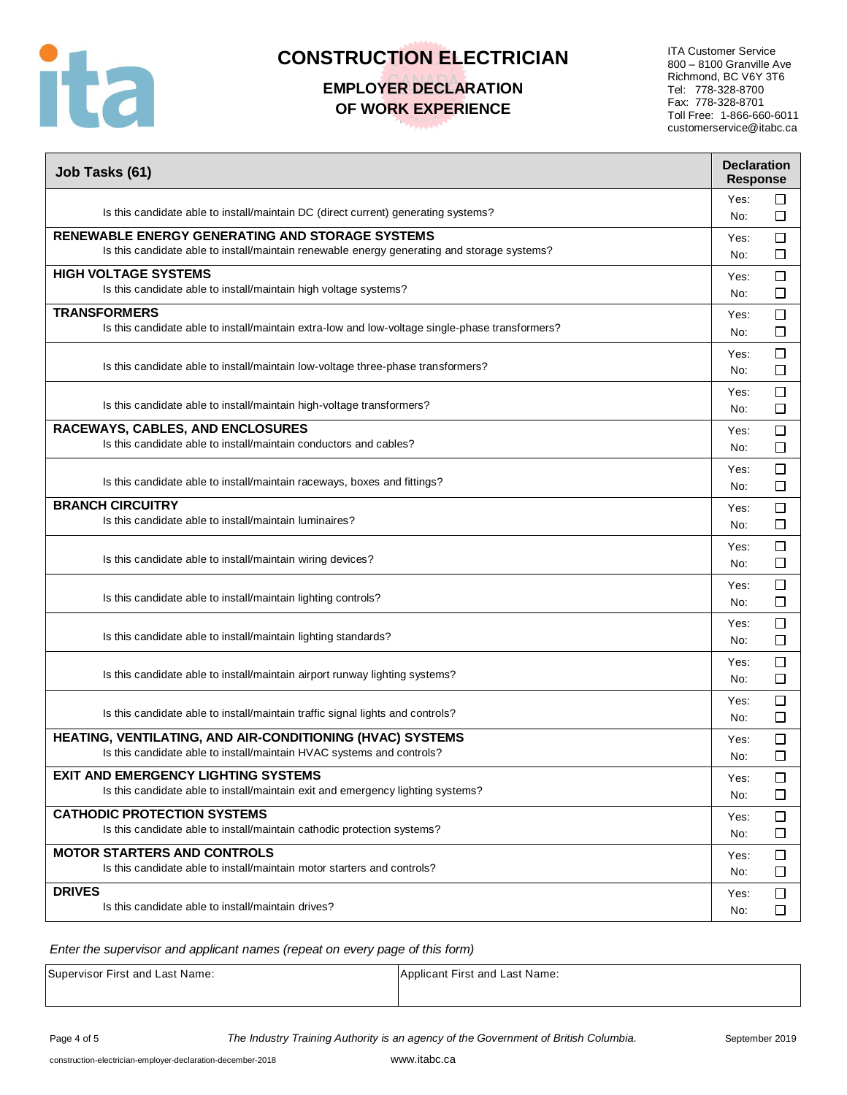

## **EMPLOYER DECLARATION OF WORK EXPERIENCE**

ITA Customer Service 800 – 8100 Granville Ave Richmond, BC V6Y 3T6 Tel: 778-328-8700 Fax: 778-328-8701 Toll Free: 1-866-660-6011 customerservice@itabc.ca

| Job Tasks (61)                                                                                  | <b>Declaration</b><br><b>Response</b> |                  |
|-------------------------------------------------------------------------------------------------|---------------------------------------|------------------|
| Is this candidate able to install/maintain DC (direct current) generating systems?              | Yes:<br>No:                           | □<br>□           |
| <b>RENEWABLE ENERGY GENERATING AND STORAGE SYSTEMS</b>                                          | Yes:                                  | $\Box$           |
| Is this candidate able to install/maintain renewable energy generating and storage systems?     | No:                                   | □                |
| <b>HIGH VOLTAGE SYSTEMS</b>                                                                     | Yes:                                  | □                |
| Is this candidate able to install/maintain high voltage systems?                                | No:                                   | □                |
| <b>TRANSFORMERS</b>                                                                             | Yes:                                  | □                |
| Is this candidate able to install/maintain extra-low and low-voltage single-phase transformers? | No:                                   | □                |
| Is this candidate able to install/maintain low-voltage three-phase transformers?                | Yes:<br>No:                           | $\Box$<br>$\Box$ |
| Is this candidate able to install/maintain high-voltage transformers?                           | Yes:<br>No:                           | $\Box$<br>□      |
| RACEWAYS, CABLES, AND ENCLOSURES                                                                | Yes:                                  | □                |
| Is this candidate able to install/maintain conductors and cables?                               | No:                                   | □                |
| Is this candidate able to install/maintain raceways, boxes and fittings?                        | Yes:<br>No:                           | □<br>□           |
| <b>BRANCH CIRCUITRY</b>                                                                         | Yes:                                  | $\Box$           |
| Is this candidate able to install/maintain luminaires?                                          | No:                                   | □                |
| Is this candidate able to install/maintain wiring devices?                                      | Yes:<br>No:                           | $\Box$<br>□      |
| Is this candidate able to install/maintain lighting controls?                                   | Yes:<br>No:                           | □<br>□           |
| Is this candidate able to install/maintain lighting standards?                                  | Yes:<br>No:                           | $\Box$<br>□      |
| Is this candidate able to install/maintain airport runway lighting systems?                     | Yes:<br>No:                           | □<br>□           |
| Is this candidate able to install/maintain traffic signal lights and controls?                  | Yes:<br>No:                           | □<br>□           |
| HEATING, VENTILATING, AND AIR-CONDITIONING (HVAC) SYSTEMS                                       | Yes:                                  | $\Box$           |
| Is this candidate able to install/maintain HVAC systems and controls?                           | No:                                   | □                |
| <b>EXIT AND EMERGENCY LIGHTING SYSTEMS</b>                                                      | Yes:                                  | ⊔                |
| Is this candidate able to install/maintain exit and emergency lighting systems?                 | No:                                   | □                |
| <b>CATHODIC PROTECTION SYSTEMS</b>                                                              | Yes:                                  | $\Box$           |
| Is this candidate able to install/maintain cathodic protection systems?                         | No:                                   | □                |
| <b>MOTOR STARTERS AND CONTROLS</b>                                                              | Yes:                                  | $\Box$           |
| Is this candidate able to install/maintain motor starters and controls?                         | No:                                   | ப                |
| <b>DRIVES</b>                                                                                   | Yes:                                  | $\Box$           |
| Is this candidate able to install/maintain drives?                                              | No:                                   | □                |

*Enter the supervisor and applicant names (repeat on every page of this form)*

Supervisor First and Last Name: Applicant First and Last Name: